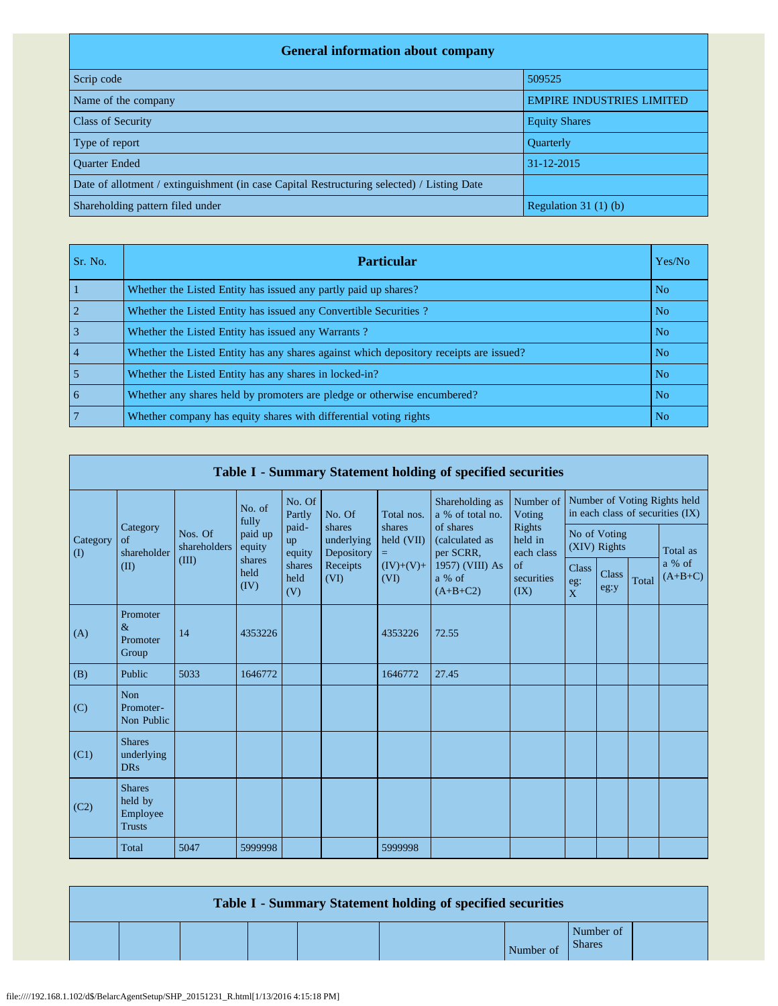| <b>General information about company</b>                                                   |                                  |  |  |  |  |  |  |
|--------------------------------------------------------------------------------------------|----------------------------------|--|--|--|--|--|--|
| Scrip code                                                                                 | 509525                           |  |  |  |  |  |  |
| Name of the company                                                                        | <b>EMPIRE INDUSTRIES LIMITED</b> |  |  |  |  |  |  |
| <b>Class of Security</b>                                                                   | <b>Equity Shares</b>             |  |  |  |  |  |  |
| Type of report                                                                             | Quarterly                        |  |  |  |  |  |  |
| <b>Ouarter Ended</b>                                                                       | $31 - 12 - 2015$                 |  |  |  |  |  |  |
| Date of allotment / extinguishment (in case Capital Restructuring selected) / Listing Date |                                  |  |  |  |  |  |  |
| Shareholding pattern filed under                                                           | Regulation 31 $(1)$ $(b)$        |  |  |  |  |  |  |

| Sr. No. | <b>Particular</b>                                                                      | Yes/No         |
|---------|----------------------------------------------------------------------------------------|----------------|
|         | Whether the Listed Entity has issued any partly paid up shares?                        | No.            |
|         | Whether the Listed Entity has issued any Convertible Securities?                       | No.            |
|         | Whether the Listed Entity has issued any Warrants?                                     | N <sub>o</sub> |
|         | Whether the Listed Entity has any shares against which depository receipts are issued? | No.            |
|         | Whether the Listed Entity has any shares in locked-in?                                 | N <sub>o</sub> |
| 6       | Whether any shares held by promoters are pledge or otherwise encumbered?               | N <sub>o</sub> |
|         | Whether company has equity shares with differential voting rights                      | No.            |

|                         | Table I - Summary Statement holding of specified securities |                         |                        |                       |                                                        |                                                    |                                                                                     |                                                             |                                                                  |                      |       |                     |
|-------------------------|-------------------------------------------------------------|-------------------------|------------------------|-----------------------|--------------------------------------------------------|----------------------------------------------------|-------------------------------------------------------------------------------------|-------------------------------------------------------------|------------------------------------------------------------------|----------------------|-------|---------------------|
|                         |                                                             |                         | No. of<br>fully        | No. Of<br>Partly      | No. Of                                                 | Total nos.                                         | Shareholding as<br>a % of total no.                                                 | Number of<br>Voting                                         | Number of Voting Rights held<br>in each class of securities (IX) |                      |       |                     |
| Category<br>$($ $($ $)$ | Category<br>of<br>shareholder                               | Nos. Of<br>shareholders | paid up<br>equity      | paid-<br>up<br>equity | shares<br>underlying<br>Depository<br>Receipts<br>(VI) | shares<br>held (VII)<br>$=$<br>$(IV)+(V)+$<br>(VI) | of shares<br>(calculated as<br>per SCRR,<br>1957) (VIII) As<br>a % of<br>$(A+B+C2)$ | Rights<br>held in<br>each class<br>of<br>securities<br>(IX) | No of Voting<br>(XIV) Rights                                     |                      |       | Total as            |
|                         | (II)                                                        | (III)                   | shares<br>held<br>(IV) | shares<br>held<br>(V) |                                                        |                                                    |                                                                                     |                                                             | <b>Class</b><br>$\mathrm{eg}\colon$<br>$\overline{X}$            | <b>Class</b><br>eg:y | Total | a % of<br>$(A+B+C)$ |
| (A)                     | Promoter<br>$\&$<br>Promoter<br>Group                       | 14                      | 4353226                |                       |                                                        | 4353226                                            | 72.55                                                                               |                                                             |                                                                  |                      |       |                     |
| (B)                     | Public                                                      | 5033                    | 1646772                |                       |                                                        | 1646772                                            | 27.45                                                                               |                                                             |                                                                  |                      |       |                     |
| (C)                     | <b>Non</b><br>Promoter-<br>Non Public                       |                         |                        |                       |                                                        |                                                    |                                                                                     |                                                             |                                                                  |                      |       |                     |
| (C1)                    | <b>Shares</b><br>underlying<br><b>DRs</b>                   |                         |                        |                       |                                                        |                                                    |                                                                                     |                                                             |                                                                  |                      |       |                     |
| (C2)                    | <b>Shares</b><br>held by<br>Employee<br><b>Trusts</b>       |                         |                        |                       |                                                        |                                                    |                                                                                     |                                                             |                                                                  |                      |       |                     |
|                         | Total                                                       | 5047                    | 5999998                |                       |                                                        | 5999998                                            |                                                                                     |                                                             |                                                                  |                      |       |                     |

|  |  |  | Table I - Summary Statement holding of specified securities |           |                            |  |
|--|--|--|-------------------------------------------------------------|-----------|----------------------------|--|
|  |  |  |                                                             | Number of | Number of<br><b>Shares</b> |  |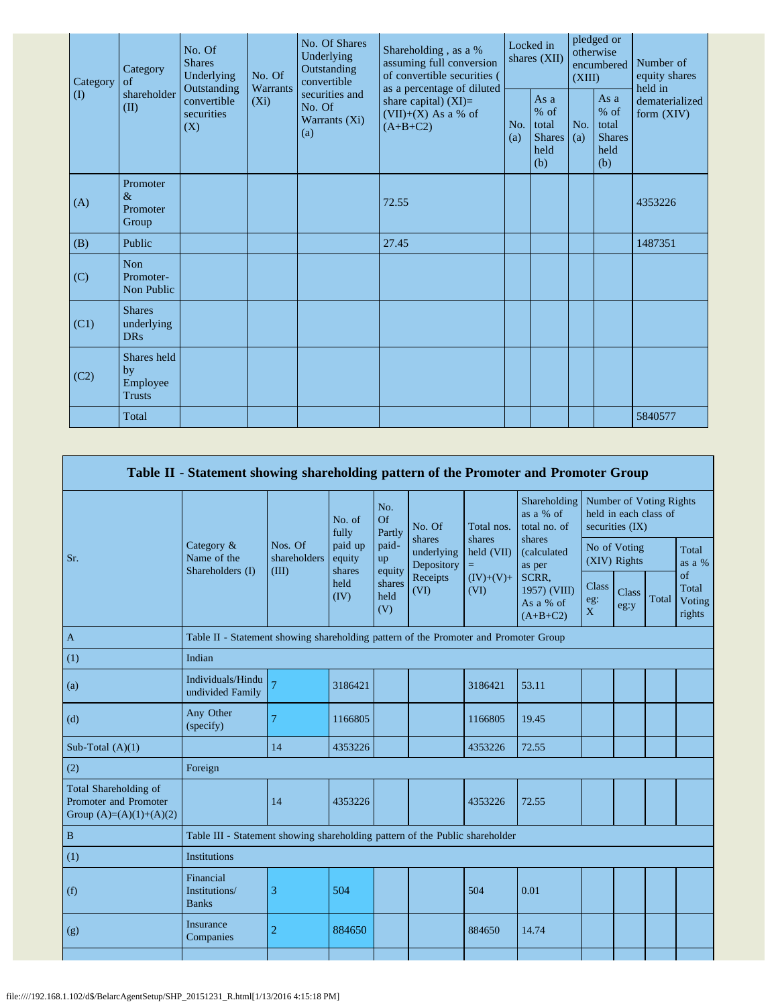| Category | No. Of Shares<br>Shareholding, as a %<br>No. Of<br>Underlying<br><b>Shares</b><br>Outstanding<br>Category<br>No. Of<br>Underlying<br>convertible<br>$\alpha$ f<br>as a percentage of diluted<br>Outstanding<br><b>Warrants</b> |                                  | assuming full conversion<br>of convertible securities ( | Locked in<br>shares (XII)                        |                                                                | (XIII)     | pledged or<br>otherwise<br>encumbered                     | Number of<br>equity shares<br>held in |                                                         |                                |
|----------|--------------------------------------------------------------------------------------------------------------------------------------------------------------------------------------------------------------------------------|----------------------------------|---------------------------------------------------------|--------------------------------------------------|----------------------------------------------------------------|------------|-----------------------------------------------------------|---------------------------------------|---------------------------------------------------------|--------------------------------|
| $\rm(D)$ | shareholder<br>(II)                                                                                                                                                                                                            | convertible<br>securities<br>(X) | $(X_i)$                                                 | securities and<br>No. Of<br>Warrants (Xi)<br>(a) | share capital) $(XI)$ =<br>$(VII)+(X)$ As a % of<br>$(A+B+C2)$ | No.<br>(a) | As $a$<br>$%$ of<br>total<br><b>Shares</b><br>held<br>(b) | No.<br>(a)                            | As a<br>$%$ of<br>total<br><b>Shares</b><br>held<br>(b) | dematerialized<br>form $(XIV)$ |
| (A)      | Promoter<br>$\&$<br>Promoter<br>Group                                                                                                                                                                                          |                                  |                                                         |                                                  | 72.55                                                          |            |                                                           |                                       |                                                         | 4353226                        |
| (B)      | Public                                                                                                                                                                                                                         |                                  |                                                         |                                                  | 27.45                                                          |            |                                                           |                                       |                                                         | 1487351                        |
| (C)      | Non<br>Promoter-<br>Non Public                                                                                                                                                                                                 |                                  |                                                         |                                                  |                                                                |            |                                                           |                                       |                                                         |                                |
| (C1)     | <b>Shares</b><br>underlying<br>DR <sub>S</sub>                                                                                                                                                                                 |                                  |                                                         |                                                  |                                                                |            |                                                           |                                       |                                                         |                                |
| (C2)     | Shares held<br>by<br>Employee<br><b>Trusts</b>                                                                                                                                                                                 |                                  |                                                         |                                                  |                                                                |            |                                                           |                                       |                                                         |                                |
|          | Total                                                                                                                                                                                                                          |                                  |                                                         |                                                  |                                                                |            |                                                           |                                       |                                                         | 5840577                        |

|                                                                             | Table II - Statement showing shareholding pattern of the Promoter and Promoter Group |                                  |                                                                                  |                                 |                                                     |                     |                                                  |                                                                     |                      |       |                                 |
|-----------------------------------------------------------------------------|--------------------------------------------------------------------------------------|----------------------------------|----------------------------------------------------------------------------------|---------------------------------|-----------------------------------------------------|---------------------|--------------------------------------------------|---------------------------------------------------------------------|----------------------|-------|---------------------------------|
|                                                                             |                                                                                      |                                  | No. of<br>fully                                                                  | No.<br>Of<br>Partly             | No. Of                                              | Total nos.          | Shareholding<br>as a % of<br>total no. of        | Number of Voting Rights<br>held in each class of<br>securities (IX) |                      |       |                                 |
| Sr.                                                                         | Category $\&$<br>Name of the<br>Shareholders (I)                                     | Nos. Of<br>shareholders<br>(III) | paid-<br>paid up<br>underlying<br>held (VII)<br>equity<br>up<br>Depository<br>Ξ. |                                 | shares<br>shares<br>shares<br>(calculated<br>as per |                     | No of Voting<br>(XIV) Rights                     |                                                                     | Total<br>as a %      |       |                                 |
|                                                                             |                                                                                      |                                  | shares<br>held<br>(IV)                                                           | equity<br>shares<br>held<br>(V) | Receipts<br>(VI)                                    | $(IV)+(V)+$<br>(VI) | SCRR,<br>1957) (VIII)<br>As a % of<br>$(A+B+C2)$ | <b>Class</b><br>$\mathrm{eg}\colon$<br>$\overline{X}$               | <b>Class</b><br>eg:y | Total | of<br>Total<br>Voting<br>rights |
| $\mathbf{A}$                                                                | Table II - Statement showing shareholding pattern of the Promoter and Promoter Group |                                  |                                                                                  |                                 |                                                     |                     |                                                  |                                                                     |                      |       |                                 |
| (1)                                                                         | Indian                                                                               |                                  |                                                                                  |                                 |                                                     |                     |                                                  |                                                                     |                      |       |                                 |
| (a)                                                                         | Individuals/Hindu<br>undivided Family                                                |                                  | 3186421                                                                          |                                 |                                                     | 3186421             | 53.11                                            |                                                                     |                      |       |                                 |
| (d)                                                                         | Any Other<br>(specify)                                                               | 7                                | 1166805                                                                          |                                 |                                                     | 1166805             | 19.45                                            |                                                                     |                      |       |                                 |
| Sub-Total $(A)(1)$                                                          |                                                                                      | 14                               | 4353226                                                                          |                                 |                                                     | 4353226             | 72.55                                            |                                                                     |                      |       |                                 |
| (2)                                                                         | Foreign                                                                              |                                  |                                                                                  |                                 |                                                     |                     |                                                  |                                                                     |                      |       |                                 |
| Total Shareholding of<br>Promoter and Promoter<br>Group $(A)=(A)(1)+(A)(2)$ |                                                                                      | 14                               | 4353226                                                                          |                                 |                                                     | 4353226             | 72.55                                            |                                                                     |                      |       |                                 |
| $\mathbf B$                                                                 | Table III - Statement showing shareholding pattern of the Public shareholder         |                                  |                                                                                  |                                 |                                                     |                     |                                                  |                                                                     |                      |       |                                 |
| (1)                                                                         | <b>Institutions</b>                                                                  |                                  |                                                                                  |                                 |                                                     |                     |                                                  |                                                                     |                      |       |                                 |
| (f)                                                                         | Financial<br>Institutions/<br><b>Banks</b>                                           | 3                                | 504                                                                              |                                 |                                                     | 504                 | 0.01                                             |                                                                     |                      |       |                                 |
| (g)                                                                         | Insurance<br>Companies                                                               | $\overline{c}$                   | 884650                                                                           |                                 |                                                     | 884650              | 14.74                                            |                                                                     |                      |       |                                 |
|                                                                             |                                                                                      |                                  |                                                                                  |                                 |                                                     |                     |                                                  |                                                                     |                      |       |                                 |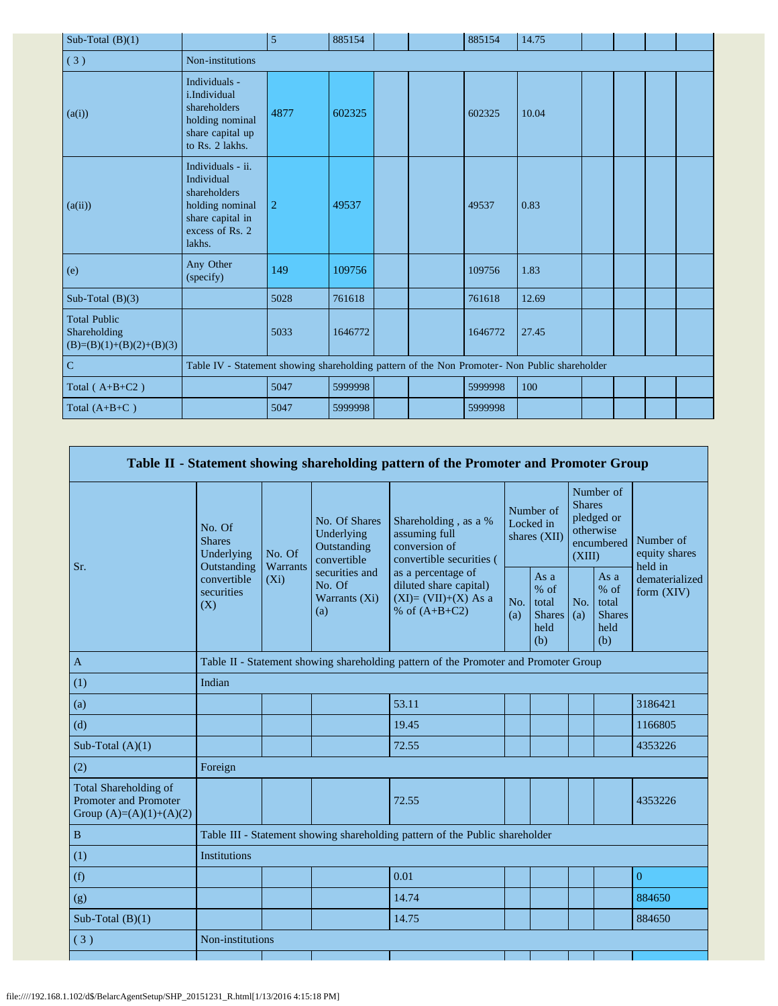| Sub-Total $(B)(1)$                                                |                                                                                                                     | 5              | 885154  |  | 885154  | 14.75 |  |  |
|-------------------------------------------------------------------|---------------------------------------------------------------------------------------------------------------------|----------------|---------|--|---------|-------|--|--|
| (3)                                                               | Non-institutions                                                                                                    |                |         |  |         |       |  |  |
| (a(i))                                                            | Individuals -<br>i.Individual<br>shareholders<br>holding nominal<br>share capital up<br>to Rs. 2 lakhs.             | 4877           | 602325  |  | 602325  | 10.04 |  |  |
| (a(ii))                                                           | Individuals - ii.<br>Individual<br>shareholders<br>holding nominal<br>share capital in<br>excess of Rs. 2<br>lakhs. | $\overline{2}$ | 49537   |  | 49537   | 0.83  |  |  |
| (e)                                                               | Any Other<br>(specify)                                                                                              | 149            | 109756  |  | 109756  | 1.83  |  |  |
| Sub-Total $(B)(3)$                                                |                                                                                                                     | 5028           | 761618  |  | 761618  | 12.69 |  |  |
| <b>Total Public</b><br>Shareholding<br>$(B)=(B)(1)+(B)(2)+(B)(3)$ |                                                                                                                     | 5033           | 1646772 |  | 1646772 | 27.45 |  |  |
| $\mathbf C$                                                       | Table IV - Statement showing shareholding pattern of the Non Promoter- Non Public shareholder                       |                |         |  |         |       |  |  |
| Total $(A+B+C2)$                                                  |                                                                                                                     | 5047           | 5999998 |  | 5999998 | 100   |  |  |
| Total $(A+B+C)$                                                   |                                                                                                                     | 5047           | 5999998 |  | 5999998 |       |  |  |

|                                                                                    |                                                      |         |                                                                                                                                                          | Table II - Statement showing shareholding pattern of the Promoter and Promoter Group |                                        |                                                         |                                                                               |                                                         |                                       |
|------------------------------------------------------------------------------------|------------------------------------------------------|---------|----------------------------------------------------------------------------------------------------------------------------------------------------------|--------------------------------------------------------------------------------------|----------------------------------------|---------------------------------------------------------|-------------------------------------------------------------------------------|---------------------------------------------------------|---------------------------------------|
|                                                                                    | No. Of<br><b>Shares</b><br>Underlying<br>Outstanding | No. Of  | No. Of Shares<br>Underlying<br>Outstanding<br>convertible                                                                                                | Shareholding, as a %<br>assuming full<br>conversion of<br>convertible securities (   | Number of<br>Locked in<br>shares (XII) |                                                         | Number of<br><b>Shares</b><br>pledged or<br>otherwise<br>encumbered<br>(XIII) |                                                         | Number of<br>equity shares<br>held in |
| Sr.                                                                                | convertible<br>securities<br>(X)                     | $(X_i)$ | Warrants<br>securities and<br>as a percentage of<br>diluted share capital)<br>No. Of<br>$(XI)=(VII)+(X)$ As a<br>Warrants (Xi)<br>% of $(A+B+C2)$<br>(a) |                                                                                      | No.<br>(a)                             | As a<br>$%$ of<br>total<br><b>Shares</b><br>held<br>(b) | No.<br>(a)                                                                    | As a<br>$%$ of<br>total<br><b>Shares</b><br>held<br>(b) | dematerialized<br>form $(XIV)$        |
| $\mathbf{A}$                                                                       |                                                      |         |                                                                                                                                                          | Table II - Statement showing shareholding pattern of the Promoter and Promoter Group |                                        |                                                         |                                                                               |                                                         |                                       |
| (1)                                                                                | Indian                                               |         |                                                                                                                                                          |                                                                                      |                                        |                                                         |                                                                               |                                                         |                                       |
| (a)                                                                                |                                                      |         |                                                                                                                                                          | 53.11                                                                                |                                        |                                                         |                                                                               |                                                         | 3186421                               |
| (d)                                                                                |                                                      |         |                                                                                                                                                          | 19.45                                                                                |                                        |                                                         |                                                                               |                                                         | 1166805                               |
| Sub-Total $(A)(1)$                                                                 |                                                      |         |                                                                                                                                                          | 72.55                                                                                |                                        |                                                         |                                                                               |                                                         | 4353226                               |
| (2)                                                                                | Foreign                                              |         |                                                                                                                                                          |                                                                                      |                                        |                                                         |                                                                               |                                                         |                                       |
| Total Shareholding of<br><b>Promoter and Promoter</b><br>Group $(A)=(A)(1)+(A)(2)$ |                                                      |         |                                                                                                                                                          | 72.55                                                                                |                                        |                                                         |                                                                               |                                                         | 4353226                               |
| $\, {\bf B}$                                                                       |                                                      |         |                                                                                                                                                          | Table III - Statement showing shareholding pattern of the Public shareholder         |                                        |                                                         |                                                                               |                                                         |                                       |
| (1)                                                                                | <b>Institutions</b>                                  |         |                                                                                                                                                          |                                                                                      |                                        |                                                         |                                                                               |                                                         |                                       |
| (f)                                                                                |                                                      |         |                                                                                                                                                          | 0.01                                                                                 |                                        |                                                         |                                                                               |                                                         | $\mathbf{0}$                          |
| (g)                                                                                |                                                      |         |                                                                                                                                                          | 14.74                                                                                |                                        |                                                         |                                                                               |                                                         | 884650                                |
| Sub-Total $(B)(1)$                                                                 |                                                      |         |                                                                                                                                                          | 14.75                                                                                |                                        |                                                         |                                                                               |                                                         | 884650                                |
| (3)                                                                                | Non-institutions                                     |         |                                                                                                                                                          |                                                                                      |                                        |                                                         |                                                                               |                                                         |                                       |
|                                                                                    |                                                      |         |                                                                                                                                                          |                                                                                      |                                        |                                                         |                                                                               |                                                         |                                       |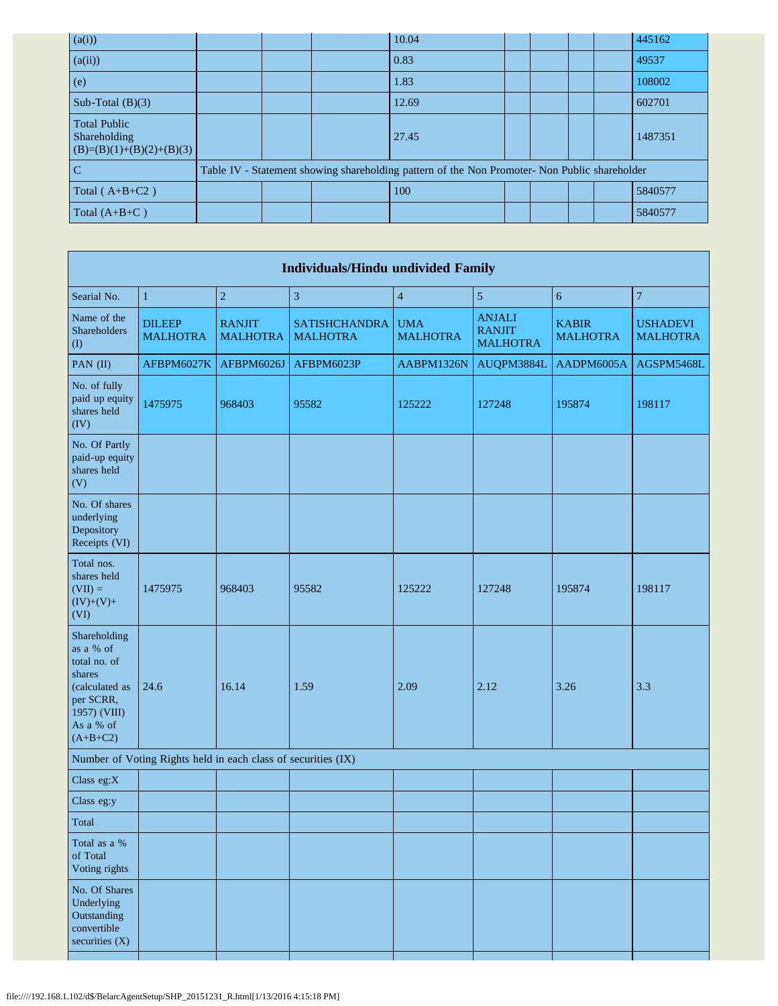| (a(i))                                                            |  | 10.04                                                                                         |  |  | 445162  |
|-------------------------------------------------------------------|--|-----------------------------------------------------------------------------------------------|--|--|---------|
| (a(ii))                                                           |  | 0.83                                                                                          |  |  | 49537   |
| (e)                                                               |  | 1.83                                                                                          |  |  | 108002  |
| Sub-Total $(B)(3)$                                                |  | 12.69                                                                                         |  |  | 602701  |
| <b>Total Public</b><br>Shareholding<br>$(B)=(B)(1)+(B)(2)+(B)(3)$ |  | 27.45                                                                                         |  |  | 1487351 |
| C                                                                 |  | Table IV - Statement showing shareholding pattern of the Non Promoter- Non Public shareholder |  |  |         |
| Total $(A+B+C2)$                                                  |  | 100                                                                                           |  |  | 5840577 |
| Total $(A+B+C)$                                                   |  |                                                                                               |  |  | 5840577 |

| <b>Individuals/Hindu undivided Family</b>                                                                                     |                                                               |                                  |                                         |                               |                                                   |                                 |                                    |  |  |
|-------------------------------------------------------------------------------------------------------------------------------|---------------------------------------------------------------|----------------------------------|-----------------------------------------|-------------------------------|---------------------------------------------------|---------------------------------|------------------------------------|--|--|
| Searial No.                                                                                                                   | $\mathbf{1}$                                                  | $\boldsymbol{2}$                 | 3                                       | $\overline{4}$                | 5                                                 | 6                               | $\overline{7}$                     |  |  |
| Name of the<br>Shareholders<br>$\left( \mathrm{I}\right)$                                                                     | <b>DILEEP</b><br><b>MALHOTRA</b>                              | <b>RANJIT</b><br><b>MALHOTRA</b> | <b>SATISHCHANDRA</b><br><b>MALHOTRA</b> | <b>UMA</b><br><b>MALHOTRA</b> | <b>ANJALI</b><br><b>RANJIT</b><br><b>MALHOTRA</b> | <b>KABIR</b><br><b>MALHOTRA</b> | <b>USHADEVI</b><br><b>MALHOTRA</b> |  |  |
| PAN (II)                                                                                                                      | AFBPM6027K                                                    | AFBPM6026J                       | AFBPM6023P                              | AABPM1326N                    | AUQPM3884L                                        | AADPM6005A                      | AGSPM5468L                         |  |  |
| No. of fully<br>paid up equity<br>shares held<br>(IV)                                                                         | 1475975                                                       | 968403                           | 95582                                   | 125222                        | 127248                                            | 195874                          | 198117                             |  |  |
| No. Of Partly<br>paid-up equity<br>shares held<br>(V)                                                                         |                                                               |                                  |                                         |                               |                                                   |                                 |                                    |  |  |
| No. Of shares<br>underlying<br>Depository<br>Receipts (VI)                                                                    |                                                               |                                  |                                         |                               |                                                   |                                 |                                    |  |  |
| Total nos.<br>shares held<br>$(VII) =$<br>$(IV)+(V)+$<br>(VI)                                                                 | 1475975                                                       | 968403                           | 95582                                   | 125222                        | 127248                                            | 195874                          | 198117                             |  |  |
| Shareholding<br>as a % of<br>total no. of<br>shares<br>(calculated as<br>per SCRR,<br>1957) (VIII)<br>As a % of<br>$(A+B+C2)$ | 24.6                                                          | 16.14                            | 1.59                                    | 2.09                          | 2.12                                              | 3.26                            | 3.3                                |  |  |
|                                                                                                                               | Number of Voting Rights held in each class of securities (IX) |                                  |                                         |                               |                                                   |                                 |                                    |  |  |
| Class eg:X                                                                                                                    |                                                               |                                  |                                         |                               |                                                   |                                 |                                    |  |  |
| Class eg:y                                                                                                                    |                                                               |                                  |                                         |                               |                                                   |                                 |                                    |  |  |
| Total                                                                                                                         |                                                               |                                  |                                         |                               |                                                   |                                 |                                    |  |  |
| Total as a %<br>of Total<br>Voting rights                                                                                     |                                                               |                                  |                                         |                               |                                                   |                                 |                                    |  |  |
| No. Of Shares<br>Underlying<br>Outstanding<br>convertible<br>securities (X)                                                   |                                                               |                                  |                                         |                               |                                                   |                                 |                                    |  |  |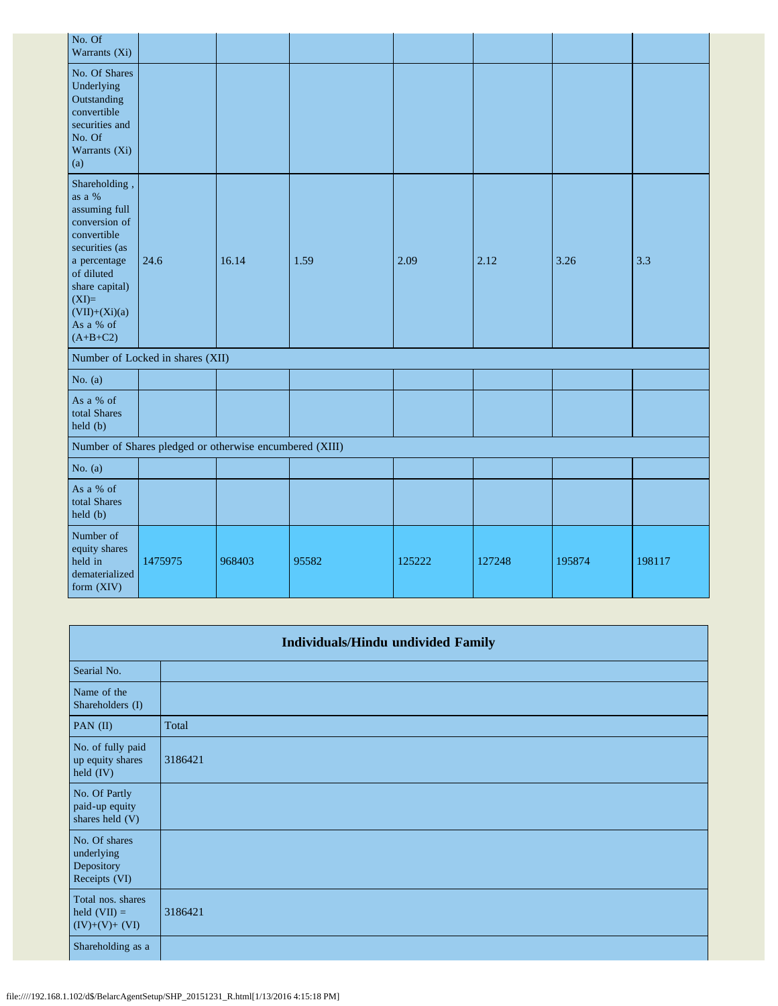| No. Of<br>Warrants (Xi)                                                                                                                                                                             |                                                         |        |       |        |        |        |        |
|-----------------------------------------------------------------------------------------------------------------------------------------------------------------------------------------------------|---------------------------------------------------------|--------|-------|--------|--------|--------|--------|
| No. Of Shares<br>Underlying<br>Outstanding<br>convertible<br>securities and<br>No. Of<br>Warrants (Xi)<br>(a)                                                                                       |                                                         |        |       |        |        |        |        |
| Shareholding,<br>as a %<br>assuming full<br>conversion of<br>convertible<br>securities (as<br>a percentage<br>of diluted<br>share capital)<br>$(XI)=$<br>$(VII)+(Xi)(a)$<br>As a % of<br>$(A+B+C2)$ | 24.6                                                    | 16.14  | 1.59  | 2.09   | 2.12   | 3.26   | 3.3    |
|                                                                                                                                                                                                     | Number of Locked in shares (XII)                        |        |       |        |        |        |        |
| No. $(a)$                                                                                                                                                                                           |                                                         |        |       |        |        |        |        |
| As a % of<br>total Shares<br>held(b)                                                                                                                                                                |                                                         |        |       |        |        |        |        |
|                                                                                                                                                                                                     | Number of Shares pledged or otherwise encumbered (XIII) |        |       |        |        |        |        |
| No. $(a)$                                                                                                                                                                                           |                                                         |        |       |        |        |        |        |
| As a % of<br>total Shares<br>held (b)                                                                                                                                                               |                                                         |        |       |        |        |        |        |
| Number of<br>equity shares<br>held in<br>dematerialized<br>form (XIV)                                                                                                                               | 1475975                                                 | 968403 | 95582 | 125222 | 127248 | 195874 | 198117 |

|                                                            | <b>Individuals/Hindu undivided Family</b> |
|------------------------------------------------------------|-------------------------------------------|
| Searial No.                                                |                                           |
| Name of the<br>Shareholders (I)                            |                                           |
| PAN $(II)$                                                 | Total                                     |
| No. of fully paid<br>up equity shares<br>held (IV)         | 3186421                                   |
| No. Of Partly<br>paid-up equity<br>shares held (V)         |                                           |
| No. Of shares<br>underlying<br>Depository<br>Receipts (VI) |                                           |
| Total nos. shares<br>held $(VII) =$<br>$(IV)+(V)+(VI)$     | 3186421                                   |
| Shareholding as a                                          |                                           |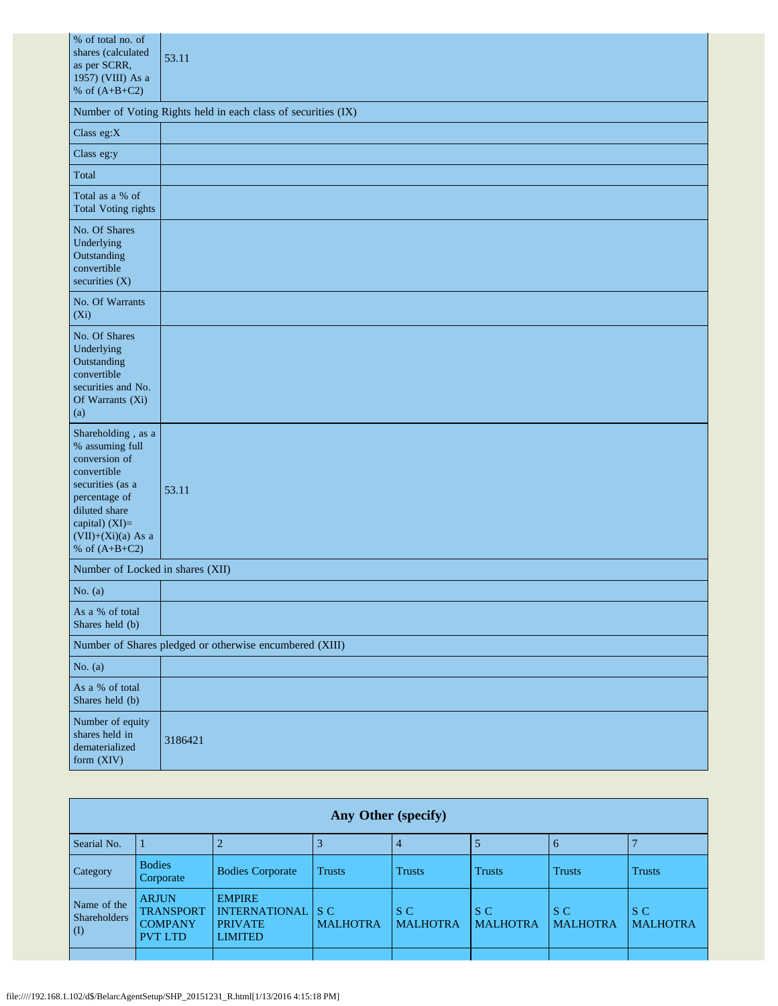| % of total no. of<br>shares (calculated<br>as per SCRR,<br>1957) (VIII) As a<br>% of $(A+B+C2)$                                                                                          | 53.11                                                         |
|------------------------------------------------------------------------------------------------------------------------------------------------------------------------------------------|---------------------------------------------------------------|
|                                                                                                                                                                                          | Number of Voting Rights held in each class of securities (IX) |
| Class eg: $X$                                                                                                                                                                            |                                                               |
| Class eg:y                                                                                                                                                                               |                                                               |
| Total                                                                                                                                                                                    |                                                               |
| Total as a % of<br><b>Total Voting rights</b>                                                                                                                                            |                                                               |
| No. Of Shares<br>Underlying<br>Outstanding<br>convertible<br>securities $(X)$                                                                                                            |                                                               |
| No. Of Warrants<br>$(X_i)$                                                                                                                                                               |                                                               |
| No. Of Shares<br>Underlying<br>Outstanding<br>convertible<br>securities and No.<br>Of Warrants (Xi)<br>(a)                                                                               |                                                               |
| Shareholding, as a<br>% assuming full<br>conversion of<br>convertible<br>securities (as a<br>percentage of<br>diluted share<br>capital) (XI)=<br>$(VII)+(Xi)(a)$ As a<br>% of $(A+B+C2)$ | 53.11                                                         |
| Number of Locked in shares (XII)                                                                                                                                                         |                                                               |
| No. $(a)$                                                                                                                                                                                |                                                               |
| As a % of total<br>Shares held (b)                                                                                                                                                       |                                                               |
|                                                                                                                                                                                          | Number of Shares pledged or otherwise encumbered (XIII)       |
| No. $(a)$                                                                                                                                                                                |                                                               |
| As a % of total<br>Shares held (b)                                                                                                                                                       |                                                               |
| Number of equity<br>shares held in<br>dematerialized<br>form (XIV)                                                                                                                       | 3186421                                                       |

|                                           | Any Other (specify)                                                  |                                                                           |                                                  |                        |                        |                        |                        |
|-------------------------------------------|----------------------------------------------------------------------|---------------------------------------------------------------------------|--------------------------------------------------|------------------------|------------------------|------------------------|------------------------|
| Searial No.                               |                                                                      |                                                                           |                                                  | $\overline{4}$         |                        | -6                     |                        |
| <b>Category</b>                           | <b>Bodies</b><br>Corporate                                           | <b>Bodies Corporate</b>                                                   | <b>Trusts</b>                                    | <b>Trusts</b>          | <b>Trusts</b>          | <b>Trusts</b>          | <b>Trusts</b>          |
| Name of the<br><b>Shareholders</b><br>(I) | <b>ARJUN</b><br><b>TRANSPORT</b><br><b>COMPANY</b><br><b>PVT LTD</b> | <b>EMPIRE</b><br><b>INTERNATIONAL</b><br><b>PRIVATE</b><br><b>LIMITED</b> | $\overline{\phantom{a}}$ is c<br><b>MALHOTRA</b> | S C<br><b>MALHOTRA</b> | S C<br><b>MALHOTRA</b> | S C<br><b>MALHOTRA</b> | S C<br><b>MALHOTRA</b> |
|                                           |                                                                      |                                                                           |                                                  |                        |                        |                        |                        |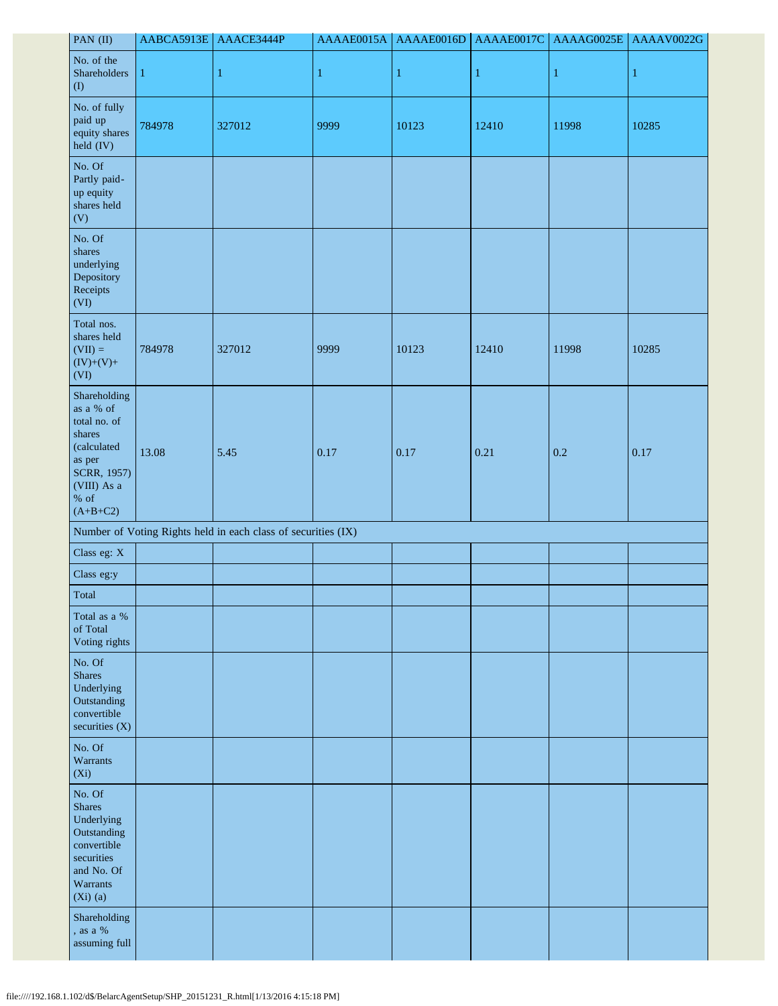| PAN (II)                                                                                                                            | AABCA5913E | AAACE3444P                                                    | AAAAE0015A | AAAAE0016D   | AAAAE0017C   | AAAAG0025E | AAAAV0022G |
|-------------------------------------------------------------------------------------------------------------------------------------|------------|---------------------------------------------------------------|------------|--------------|--------------|------------|------------|
| No. of the<br>Shareholders<br>(1)                                                                                                   | 1          | $\mathbf{1}$                                                  | 1          | $\mathbf{1}$ | $\mathbf{1}$ | 1          | 1          |
| No. of fully<br>paid up<br>equity shares<br>held (IV)                                                                               | 784978     | 327012                                                        | 9999       | 10123        | 12410        | 11998      | 10285      |
| No. Of<br>Partly paid-<br>up equity<br>shares held<br>(V)                                                                           |            |                                                               |            |              |              |            |            |
| No. Of<br>shares<br>underlying<br>Depository<br>Receipts<br>(VI)                                                                    |            |                                                               |            |              |              |            |            |
| Total nos.<br>shares held<br>$(VII) =$<br>$(IV)+(V)+$<br>(VI)                                                                       | 784978     | 327012                                                        | 9999       | 10123        | 12410        | 11998      | 10285      |
| Shareholding<br>as a % of<br>total no. of<br>shares<br>(calculated<br>as per<br>SCRR, 1957)<br>(VIII) As a<br>$\%$ of<br>$(A+B+C2)$ | 13.08      | 5.45                                                          | 0.17       | 0.17         | 0.21         | 0.2        | 0.17       |
|                                                                                                                                     |            | Number of Voting Rights held in each class of securities (IX) |            |              |              |            |            |
| Class eg: X                                                                                                                         |            |                                                               |            |              |              |            |            |
| Class eg:y                                                                                                                          |            |                                                               |            |              |              |            |            |
| Total                                                                                                                               |            |                                                               |            |              |              |            |            |
| Total as a %<br>of Total<br>Voting rights                                                                                           |            |                                                               |            |              |              |            |            |
| No. Of<br><b>Shares</b><br>Underlying<br>Outstanding<br>convertible<br>securities (X)                                               |            |                                                               |            |              |              |            |            |
| No. Of<br>Warrants<br>$(X_i)$                                                                                                       |            |                                                               |            |              |              |            |            |
| No. Of<br><b>Shares</b><br>Underlying<br>Outstanding<br>convertible<br>securities<br>and No. Of<br>Warrants<br>$(Xi)$ (a)           |            |                                                               |            |              |              |            |            |
| Shareholding<br>, as a $\%$<br>assuming full                                                                                        |            |                                                               |            |              |              |            |            |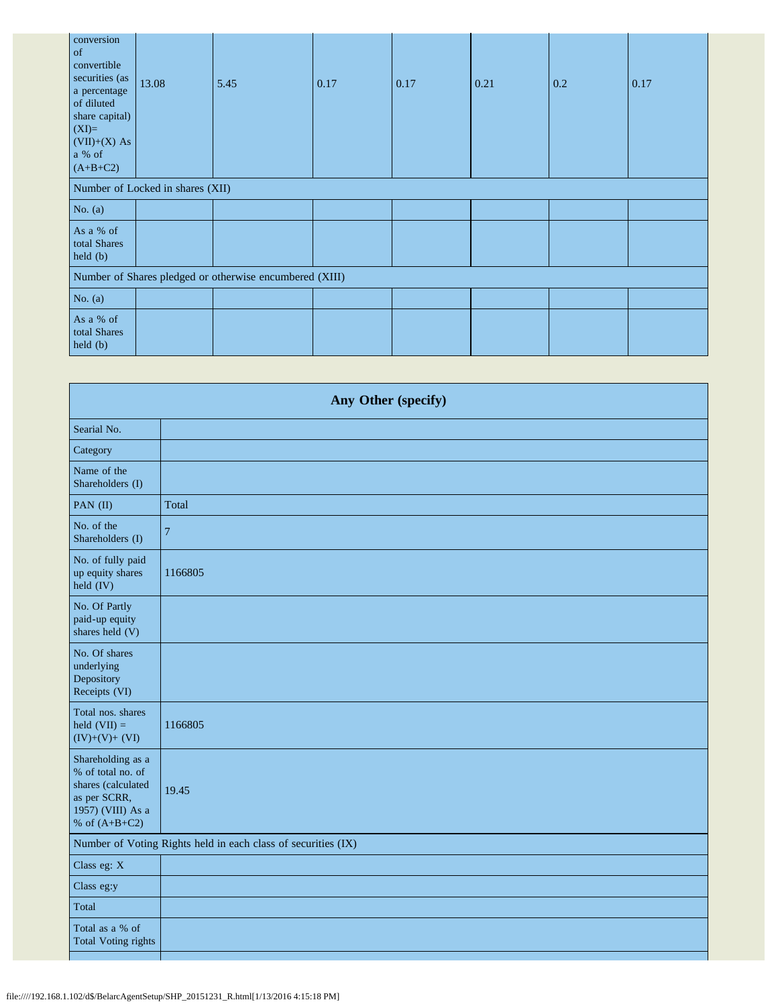| conversion<br>of<br>convertible<br>securities (as<br>a percentage<br>of diluted<br>share capital)<br>$(XI)=$<br>$(VII)+(X) As$<br>a % of<br>$(A+B+C2)$ | 13.08                            | 5.45 | 0.17 | 0.17 | 0.21 | 0.2 | 0.17 |
|--------------------------------------------------------------------------------------------------------------------------------------------------------|----------------------------------|------|------|------|------|-----|------|
|                                                                                                                                                        | Number of Locked in shares (XII) |      |      |      |      |     |      |
| No. $(a)$                                                                                                                                              |                                  |      |      |      |      |     |      |
| As a % of<br>total Shares<br>$\text{held } (b)$                                                                                                        |                                  |      |      |      |      |     |      |
| Number of Shares pledged or otherwise encumbered (XIII)                                                                                                |                                  |      |      |      |      |     |      |
| No. $(a)$                                                                                                                                              |                                  |      |      |      |      |     |      |
| As a % of<br>total Shares<br>held(b)                                                                                                                   |                                  |      |      |      |      |     |      |

| Any Other (specify)                                                                                                  |         |  |  |
|----------------------------------------------------------------------------------------------------------------------|---------|--|--|
| Searial No.                                                                                                          |         |  |  |
| Category                                                                                                             |         |  |  |
| Name of the<br>Shareholders (I)                                                                                      |         |  |  |
| PAN (II)                                                                                                             | Total   |  |  |
| No. of the<br>Shareholders (I)                                                                                       | 7       |  |  |
| No. of fully paid<br>up equity shares<br>held (IV)                                                                   | 1166805 |  |  |
| No. Of Partly<br>paid-up equity<br>shares held (V)                                                                   |         |  |  |
| No. Of shares<br>underlying<br>Depository<br>Receipts (VI)                                                           |         |  |  |
| Total nos. shares<br>held $(VII) =$<br>$(IV)+(V)+(VI)$                                                               | 1166805 |  |  |
| Shareholding as a<br>% of total no. of<br>shares (calculated<br>as per SCRR,<br>1957) (VIII) As a<br>% of $(A+B+C2)$ | 19.45   |  |  |
| Number of Voting Rights held in each class of securities (IX)                                                        |         |  |  |
| Class eg: X                                                                                                          |         |  |  |
| Class eg:y                                                                                                           |         |  |  |
| Total                                                                                                                |         |  |  |
| Total as a % of<br><b>Total Voting rights</b>                                                                        |         |  |  |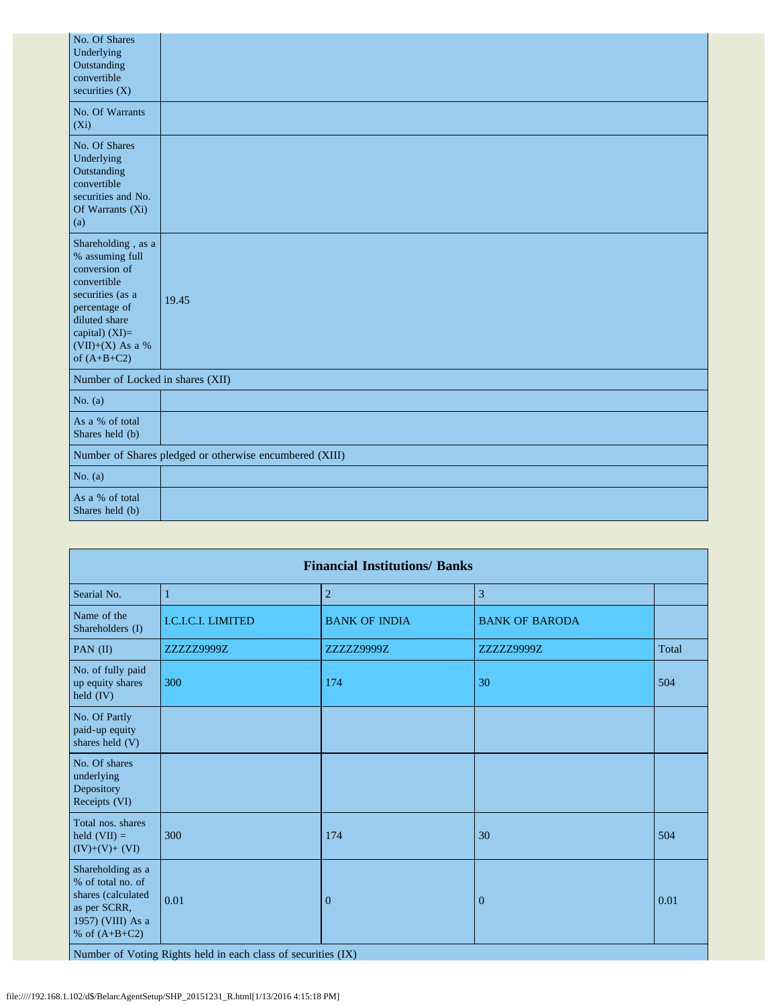| No. Of Shares<br>Underlying<br>Outstanding<br>convertible<br>securities $(X)$                                                                                                        |                                                         |
|--------------------------------------------------------------------------------------------------------------------------------------------------------------------------------------|---------------------------------------------------------|
| No. Of Warrants<br>$(X_i)$                                                                                                                                                           |                                                         |
| No. Of Shares<br>Underlying<br>Outstanding<br>convertible<br>securities and No.<br>Of Warrants (Xi)<br>(a)                                                                           |                                                         |
| Shareholding, as a<br>% assuming full<br>conversion of<br>convertible<br>securities (as a<br>percentage of<br>diluted share<br>capital) (XI)=<br>$(VII)+(X)$ As a %<br>of $(A+B+C2)$ | 19.45                                                   |
| Number of Locked in shares (XII)                                                                                                                                                     |                                                         |
| No. $(a)$                                                                                                                                                                            |                                                         |
| As a % of total<br>Shares held (b)                                                                                                                                                   |                                                         |
|                                                                                                                                                                                      | Number of Shares pledged or otherwise encumbered (XIII) |
| No. $(a)$                                                                                                                                                                            |                                                         |
| As a % of total<br>Shares held (b)                                                                                                                                                   |                                                         |

| <b>Financial Institutions/ Banks</b>                                                                                 |                    |                      |                       |       |  |
|----------------------------------------------------------------------------------------------------------------------|--------------------|----------------------|-----------------------|-------|--|
| Searial No.                                                                                                          | $\mathbf{1}$       | $\overline{2}$       | $\overline{3}$        |       |  |
| Name of the<br>Shareholders (I)                                                                                      | I.C.I.C.I. LIMITED | <b>BANK OF INDIA</b> | <b>BANK OF BARODA</b> |       |  |
| PAN $(II)$                                                                                                           | ZZZZZ9999Z         | ZZZZZ9999Z           | ZZZZZ9999Z            | Total |  |
| No. of fully paid<br>up equity shares<br>held (IV)                                                                   | 300                | 174                  | 30                    | 504   |  |
| No. Of Partly<br>paid-up equity<br>shares held (V)                                                                   |                    |                      |                       |       |  |
| No. Of shares<br>underlying<br>Depository<br>Receipts (VI)                                                           |                    |                      |                       |       |  |
| Total nos. shares<br>held $(VII) =$<br>$(IV)+(V)+(VI)$                                                               | 300                | 174                  | 30                    | 504   |  |
| Shareholding as a<br>% of total no. of<br>shares (calculated<br>as per SCRR,<br>1957) (VIII) As a<br>% of $(A+B+C2)$ | 0.01               | $\mathbf{0}$         | $\mathbf{0}$          | 0.01  |  |

Number of Voting Rights held in each class of securities (IX)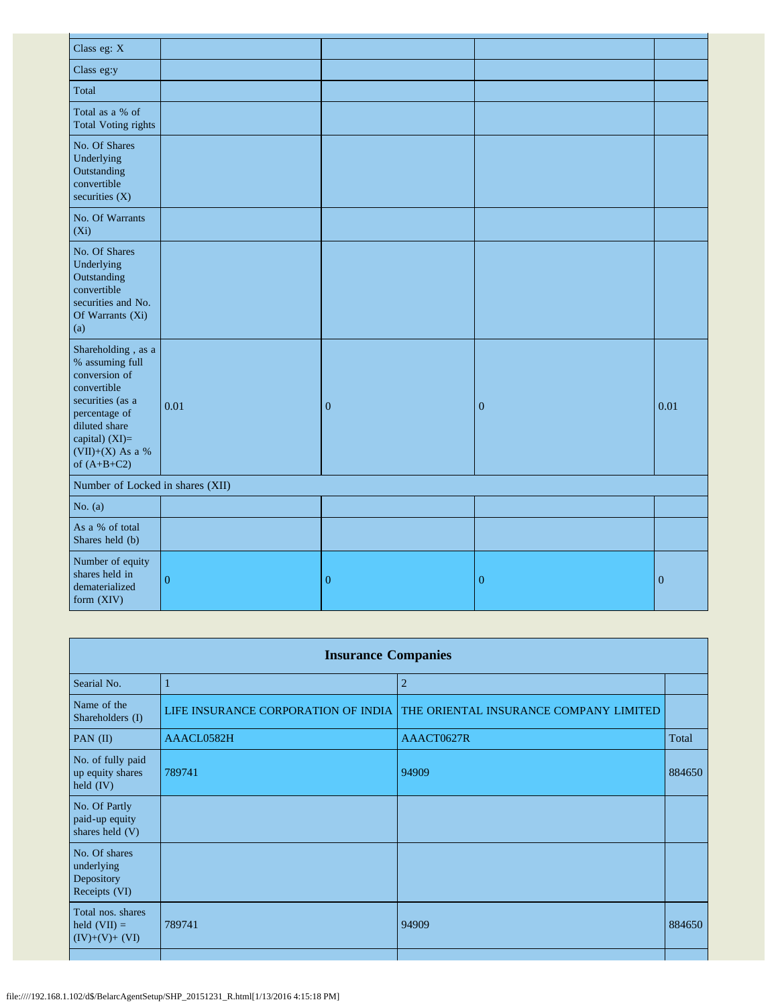| Class eg: X                                                                                                                                                                          |                  |                  |                |              |  |
|--------------------------------------------------------------------------------------------------------------------------------------------------------------------------------------|------------------|------------------|----------------|--------------|--|
| Class eg:y                                                                                                                                                                           |                  |                  |                |              |  |
| Total                                                                                                                                                                                |                  |                  |                |              |  |
| Total as a % of<br><b>Total Voting rights</b>                                                                                                                                        |                  |                  |                |              |  |
| No. Of Shares<br>Underlying<br>Outstanding<br>convertible<br>securities $(X)$                                                                                                        |                  |                  |                |              |  |
| No. Of Warrants<br>$(X_i)$                                                                                                                                                           |                  |                  |                |              |  |
| No. Of Shares<br>Underlying<br>Outstanding<br>convertible<br>securities and No.<br>Of Warrants (Xi)<br>(a)                                                                           |                  |                  |                |              |  |
| Shareholding, as a<br>% assuming full<br>conversion of<br>convertible<br>securities (as a<br>percentage of<br>diluted share<br>capital) $(XI)=$<br>(VII)+(X) As a %<br>of $(A+B+C2)$ | 0.01             | $\mathbf{0}$     | $\mathbf{0}$   | 0.01         |  |
| Number of Locked in shares (XII)                                                                                                                                                     |                  |                  |                |              |  |
| No. $(a)$                                                                                                                                                                            |                  |                  |                |              |  |
| As a % of total<br>Shares held (b)                                                                                                                                                   |                  |                  |                |              |  |
| Number of equity<br>shares held in<br>dematerialized<br>form (XIV)                                                                                                                   | $\boldsymbol{0}$ | $\boldsymbol{0}$ | $\overline{0}$ | $\mathbf{0}$ |  |

| <b>Insurance Companies</b>                                 |                                     |                                        |        |  |  |
|------------------------------------------------------------|-------------------------------------|----------------------------------------|--------|--|--|
| Searial No.                                                | 1                                   | $\overline{2}$                         |        |  |  |
| Name of the<br>Shareholders (I)                            | LIFE INSURANCE CORPORATION OF INDIA | THE ORIENTAL INSURANCE COMPANY LIMITED |        |  |  |
| PAN (II)                                                   | AAACL0582H                          | AAACT0627R                             | Total  |  |  |
| No. of fully paid<br>up equity shares<br>held $(IV)$       | 789741                              | 94909                                  | 884650 |  |  |
| No. Of Partly<br>paid-up equity<br>shares held (V)         |                                     |                                        |        |  |  |
| No. Of shares<br>underlying<br>Depository<br>Receipts (VI) |                                     |                                        |        |  |  |
| Total nos. shares<br>held $(VII) =$<br>$(IV)+(V)+(VI)$     | 789741                              | 94909                                  | 884650 |  |  |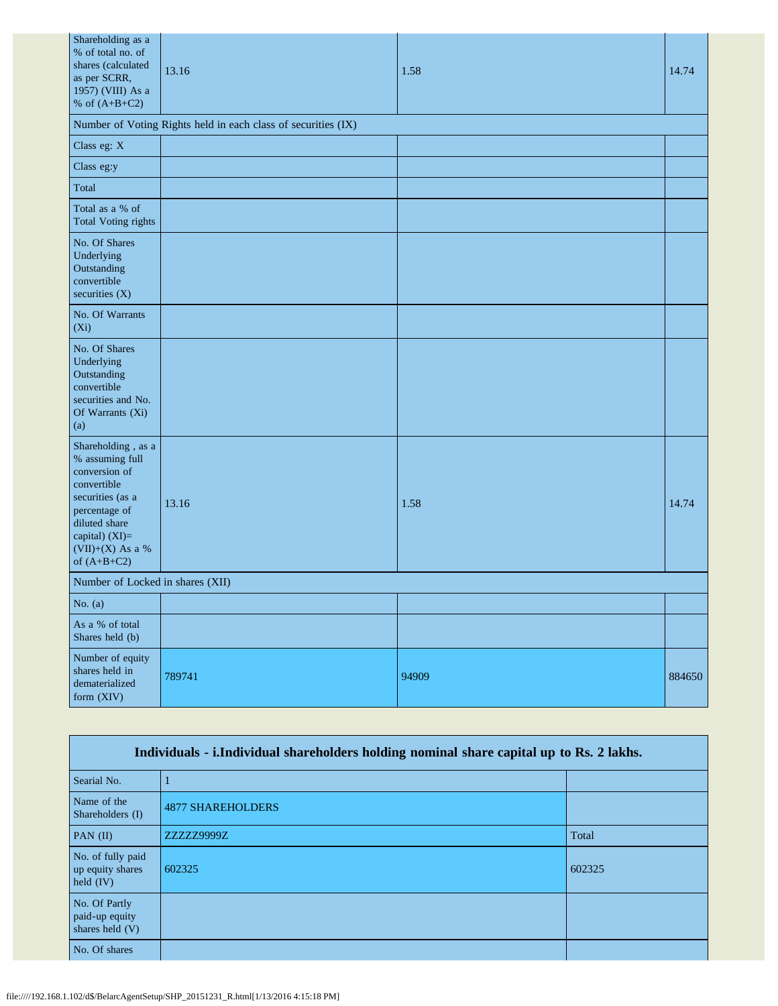| Shareholding as a<br>% of total no. of<br>shares (calculated<br>as per SCRR,<br>1957) (VIII) As a<br>% of $(A+B+C2)$                                                               | 13.16                                                         | 1.58  | 14.74  |  |  |
|------------------------------------------------------------------------------------------------------------------------------------------------------------------------------------|---------------------------------------------------------------|-------|--------|--|--|
|                                                                                                                                                                                    | Number of Voting Rights held in each class of securities (IX) |       |        |  |  |
| Class eg: X                                                                                                                                                                        |                                                               |       |        |  |  |
| Class eg:y                                                                                                                                                                         |                                                               |       |        |  |  |
| Total                                                                                                                                                                              |                                                               |       |        |  |  |
| Total as a % of<br><b>Total Voting rights</b>                                                                                                                                      |                                                               |       |        |  |  |
| No. Of Shares<br>Underlying<br>Outstanding<br>convertible<br>securities (X)                                                                                                        |                                                               |       |        |  |  |
| No. Of Warrants<br>$(X_i)$                                                                                                                                                         |                                                               |       |        |  |  |
| No. Of Shares<br>Underlying<br>Outstanding<br>convertible<br>securities and No.<br>Of Warrants (Xi)<br>(a)                                                                         |                                                               |       |        |  |  |
| Shareholding, as a<br>% assuming full<br>conversion of<br>convertible<br>securities (as a<br>percentage of<br>diluted share<br>capital) (XI)=<br>(VII)+(X) As a %<br>of $(A+B+C2)$ | 13.16                                                         | 1.58  | 14.74  |  |  |
| Number of Locked in shares (XII)                                                                                                                                                   |                                                               |       |        |  |  |
| No. $(a)$                                                                                                                                                                          |                                                               |       |        |  |  |
| As a % of total<br>Shares held (b)                                                                                                                                                 |                                                               |       |        |  |  |
| Number of equity<br>shares held in<br>dematerialized<br>form (XIV)                                                                                                                 | 789741                                                        | 94909 | 884650 |  |  |

| Individuals - i.Individual shareholders holding nominal share capital up to Rs. 2 lakhs. |                          |        |  |  |
|------------------------------------------------------------------------------------------|--------------------------|--------|--|--|
| Searial No.                                                                              |                          |        |  |  |
| Name of the<br>Shareholders (I)                                                          | <b>4877 SHAREHOLDERS</b> |        |  |  |
| $PAN$ (II)                                                                               | ZZZZZ9999Z               | Total  |  |  |
| No. of fully paid<br>up equity shares<br>held $(IV)$                                     | 602325                   | 602325 |  |  |
| No. Of Partly<br>paid-up equity<br>shares held (V)                                       |                          |        |  |  |
| No. Of shares                                                                            |                          |        |  |  |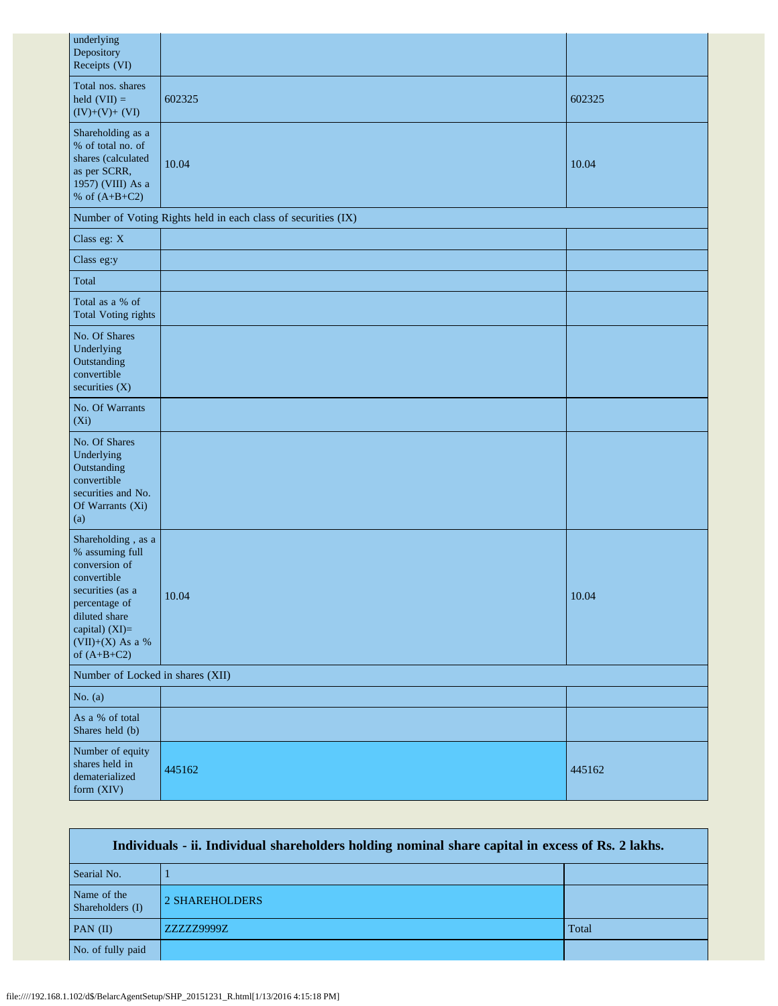| underlying<br>Depository<br>Receipts (VI)                                                                                                                                          |                                                               |        |  |  |
|------------------------------------------------------------------------------------------------------------------------------------------------------------------------------------|---------------------------------------------------------------|--------|--|--|
| Total nos. shares<br>held $(VII) =$<br>$(IV)+(V)+(VI)$                                                                                                                             | 602325                                                        | 602325 |  |  |
| Shareholding as a<br>% of total no. of<br>shares (calculated<br>as per SCRR,<br>1957) (VIII) As a<br>% of $(A+B+C2)$                                                               | 10.04                                                         | 10.04  |  |  |
|                                                                                                                                                                                    | Number of Voting Rights held in each class of securities (IX) |        |  |  |
| Class eg: X                                                                                                                                                                        |                                                               |        |  |  |
| Class eg:y                                                                                                                                                                         |                                                               |        |  |  |
| Total                                                                                                                                                                              |                                                               |        |  |  |
| Total as a % of<br><b>Total Voting rights</b>                                                                                                                                      |                                                               |        |  |  |
| No. Of Shares<br>Underlying<br>Outstanding<br>convertible<br>securities (X)                                                                                                        |                                                               |        |  |  |
| No. Of Warrants<br>$(X_i)$                                                                                                                                                         |                                                               |        |  |  |
| No. Of Shares<br>Underlying<br>Outstanding<br>convertible<br>securities and No.<br>Of Warrants (Xi)<br>(a)                                                                         |                                                               |        |  |  |
| Shareholding, as a<br>% assuming full<br>conversion of<br>convertible<br>securities (as a<br>percentage of<br>diluted share<br>capital) (XI)=<br>(VII)+(X) As a %<br>of $(A+B+C2)$ | 10.04                                                         | 10.04  |  |  |
| Number of Locked in shares (XII)                                                                                                                                                   |                                                               |        |  |  |
| No. $(a)$                                                                                                                                                                          |                                                               |        |  |  |
| As a % of total<br>Shares held (b)                                                                                                                                                 |                                                               |        |  |  |
| Number of equity<br>shares held in<br>dematerialized<br>form (XIV)                                                                                                                 | 445162                                                        | 445162 |  |  |

| Individuals - ii. Individual shareholders holding nominal share capital in excess of Rs. 2 lakhs. |                |       |  |  |
|---------------------------------------------------------------------------------------------------|----------------|-------|--|--|
| Searial No.                                                                                       |                |       |  |  |
| Name of the<br>Shareholders (I)                                                                   | 2 SHAREHOLDERS |       |  |  |
| $PAN$ (II)                                                                                        | ZZZZZ9999Z     | Total |  |  |
| No. of fully paid                                                                                 |                |       |  |  |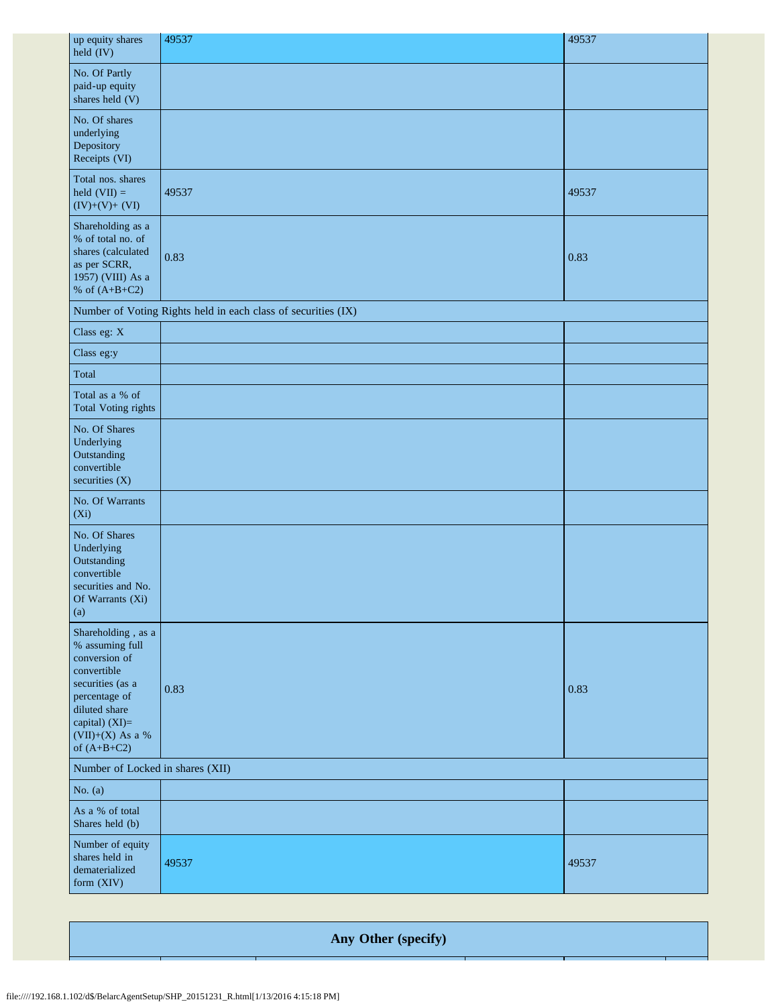| up equity shares<br>held (IV)                                                                                                                                                        | 49537                                                         | 49537 |  |  |
|--------------------------------------------------------------------------------------------------------------------------------------------------------------------------------------|---------------------------------------------------------------|-------|--|--|
| No. Of Partly<br>paid-up equity<br>shares held (V)                                                                                                                                   |                                                               |       |  |  |
| No. Of shares<br>underlying<br>Depository<br>Receipts (VI)                                                                                                                           |                                                               |       |  |  |
| Total nos. shares<br>held $(VII) =$<br>$(IV)+(V)+(VI)$                                                                                                                               | 49537                                                         | 49537 |  |  |
| Shareholding as a<br>% of total no. of<br>shares (calculated<br>as per SCRR,<br>1957) (VIII) As a<br>% of $(A+B+C2)$                                                                 | 0.83                                                          | 0.83  |  |  |
|                                                                                                                                                                                      | Number of Voting Rights held in each class of securities (IX) |       |  |  |
| Class eg: X                                                                                                                                                                          |                                                               |       |  |  |
| Class eg:y                                                                                                                                                                           |                                                               |       |  |  |
| Total                                                                                                                                                                                |                                                               |       |  |  |
| Total as a % of<br><b>Total Voting rights</b>                                                                                                                                        |                                                               |       |  |  |
| No. Of Shares<br>Underlying<br>Outstanding<br>convertible<br>securities (X)                                                                                                          |                                                               |       |  |  |
| No. Of Warrants<br>$(X_i)$                                                                                                                                                           |                                                               |       |  |  |
| No. Of Shares<br>Underlying<br>Outstanding<br>convertible<br>securities and No.<br>Of Warrants (Xi)<br>(a)                                                                           |                                                               |       |  |  |
| Shareholding, as a<br>% assuming full<br>conversion of<br>convertible<br>securities (as a<br>percentage of<br>diluted share<br>capital) (XI)=<br>$(VII)+(X)$ As a %<br>of $(A+B+C2)$ | 0.83                                                          | 0.83  |  |  |
| Number of Locked in shares (XII)                                                                                                                                                     |                                                               |       |  |  |
| No. $(a)$                                                                                                                                                                            |                                                               |       |  |  |
| As a % of total<br>Shares held (b)                                                                                                                                                   |                                                               |       |  |  |
| Number of equity<br>shares held in<br>dematerialized<br>form (XIV)                                                                                                                   | 49537                                                         | 49537 |  |  |

**Any Other (specify)**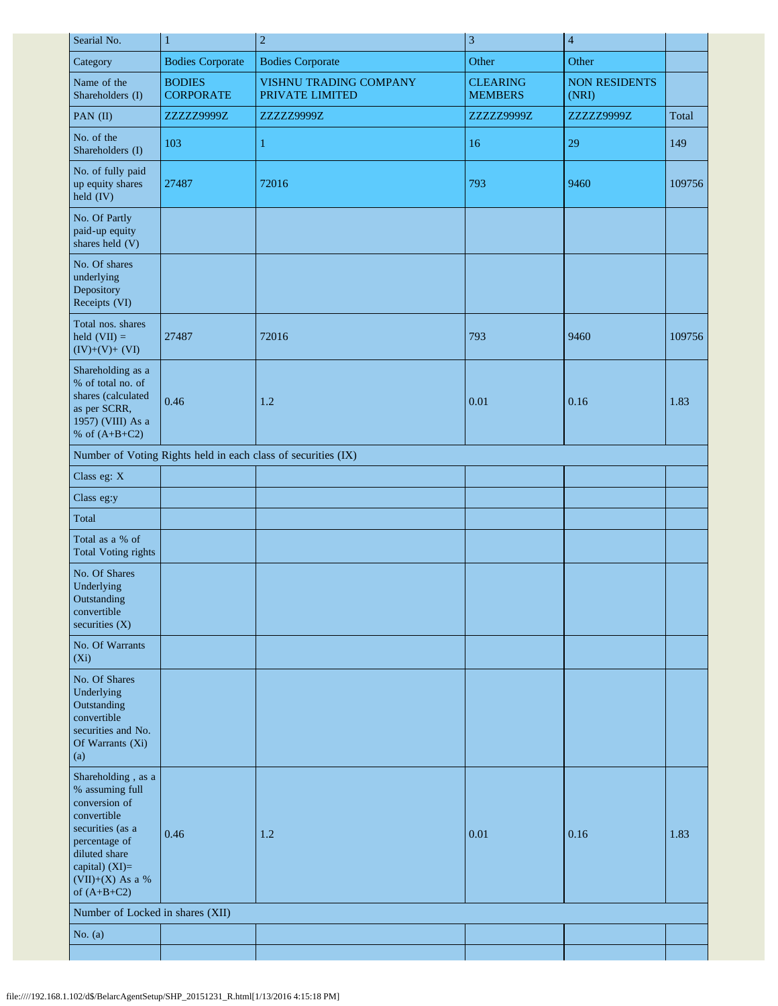| Searial No.                                                                                                                                                                        | $\mathbf{1}$                      | $\overline{c}$                                                | 3                                 | $\overline{4}$                |        |
|------------------------------------------------------------------------------------------------------------------------------------------------------------------------------------|-----------------------------------|---------------------------------------------------------------|-----------------------------------|-------------------------------|--------|
| Category                                                                                                                                                                           | <b>Bodies Corporate</b>           | <b>Bodies Corporate</b>                                       | Other                             | Other                         |        |
| Name of the<br>Shareholders (I)                                                                                                                                                    | <b>BODIES</b><br><b>CORPORATE</b> | VISHNU TRADING COMPANY<br>PRIVATE LIMITED                     | <b>CLEARING</b><br><b>MEMBERS</b> | <b>NON RESIDENTS</b><br>(NRI) |        |
| PAN (II)                                                                                                                                                                           | ZZZZZ9999Z                        | ZZZZZ9999Z                                                    | ZZZZZ9999Z                        | ZZZZZ9999Z                    | Total  |
| No. of the<br>Shareholders (I)                                                                                                                                                     | 103                               | 1                                                             | 16                                | 29                            | 149    |
| No. of fully paid<br>up equity shares<br>held (IV)                                                                                                                                 | 27487                             | 72016                                                         | 793                               | 9460                          | 109756 |
| No. Of Partly<br>paid-up equity<br>shares held (V)                                                                                                                                 |                                   |                                                               |                                   |                               |        |
| No. Of shares<br>underlying<br>Depository<br>Receipts (VI)                                                                                                                         |                                   |                                                               |                                   |                               |        |
| Total nos. shares<br>held $(VII) =$<br>$(IV)+(V)+(VI)$                                                                                                                             | 27487                             | 72016                                                         | 793                               | 9460                          | 109756 |
| Shareholding as a<br>% of total no. of<br>shares (calculated<br>as per SCRR,<br>1957) (VIII) As a<br>% of $(A+B+C2)$                                                               | 0.46                              | 1.2                                                           | 0.01                              | 0.16                          | 1.83   |
|                                                                                                                                                                                    |                                   | Number of Voting Rights held in each class of securities (IX) |                                   |                               |        |
| Class eg: X                                                                                                                                                                        |                                   |                                                               |                                   |                               |        |
| Class eg:y                                                                                                                                                                         |                                   |                                                               |                                   |                               |        |
| Total                                                                                                                                                                              |                                   |                                                               |                                   |                               |        |
| Total as a % of<br><b>Total Voting rights</b>                                                                                                                                      |                                   |                                                               |                                   |                               |        |
| No. Of Shares<br>Underlying<br>Outstanding<br>convertible<br>securities (X)                                                                                                        |                                   |                                                               |                                   |                               |        |
| No. Of Warrants<br>$(X_i)$                                                                                                                                                         |                                   |                                                               |                                   |                               |        |
| No. Of Shares<br>Underlying<br>Outstanding<br>convertible<br>securities and No.<br>Of Warrants (Xi)<br>(a)                                                                         |                                   |                                                               |                                   |                               |        |
| Shareholding, as a<br>% assuming full<br>conversion of<br>convertible<br>securities (as a<br>percentage of<br>diluted share<br>capital) (XI)=<br>(VII)+(X) As a %<br>of $(A+B+C2)$ | 0.46                              | 1.2                                                           | 0.01                              | 0.16                          | 1.83   |
| Number of Locked in shares (XII)                                                                                                                                                   |                                   |                                                               |                                   |                               |        |
| No. $(a)$                                                                                                                                                                          |                                   |                                                               |                                   |                               |        |
|                                                                                                                                                                                    |                                   |                                                               |                                   |                               |        |